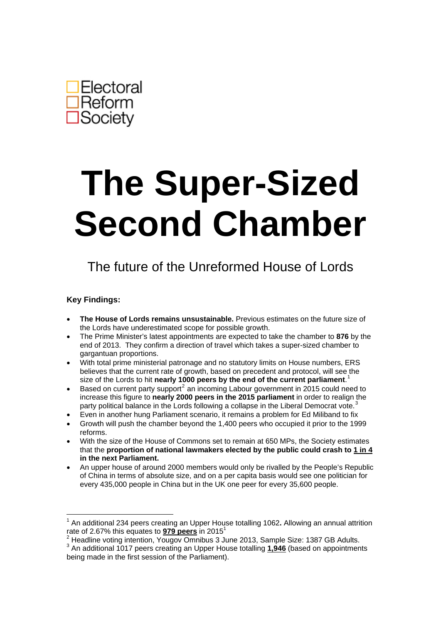

# **The Super-Sized Second Chamber**

## The future of the Unreformed House of Lords

#### **Key Findings:**

1

- **The House of Lords remains unsustainable.** Previous estimates on the future size of the Lords have underestimated scope for possible growth.
- The Prime Minister's latest appointments are expected to take the chamber to **876** by the end of 2013. They confirm a direction of travel which takes a super-sized chamber to gargantuan proportions.
- With total prime ministerial patronage and no statutory limits on House numbers, ERS believes that the current rate of growth, based on precedent and protocol, will see the size of the Lords to hit **nearly 1000 peers by the end of the current parliament**. [1](#page-0-0)
- Based on current party support<sup>[2](#page-0-1)</sup> an incoming Labour government in 2015 could need to increase this figure to **nearly 2000 peers in the 2015 parliament** in order to realign the party political balance in the Lords following a collapse in the Liberal Democrat vote.
- Even in another hung Parliament scenario, it remains a problem for Ed Miliband to fix
- Growth will push the chamber beyond the 1,400 peers who occupied it prior to the 1999 reforms.
- With the size of the House of Commons set to remain at 650 MPs, the Society estimates that the **proportion of national lawmakers elected by the public could crash to 1 in 4 in the next Parliament.**
- An upper house of around 2000 members would only be rivalled by the People's Republic of China in terms of absolute size, and on a per capita basis would see one politician for every 435,000 people in China but in the UK one peer for every 35,600 people.

<span id="page-0-0"></span><sup>1</sup> An additional 234 peers creating an Upper House totalling 1062**.** Allowing an annual attrition rate of 2.67% this equates to **979 peers** in 2015<sup>1</sup>

 $2$  Headline voting intention, Yougov Omnibus 3 June 2013, Sample Size: 1387 GB Adults.

<span id="page-0-2"></span><span id="page-0-1"></span><sup>3</sup> An additional 1017 peers creating an Upper House totalling **1,946** (based on appointments being made in the first session of the Parliament).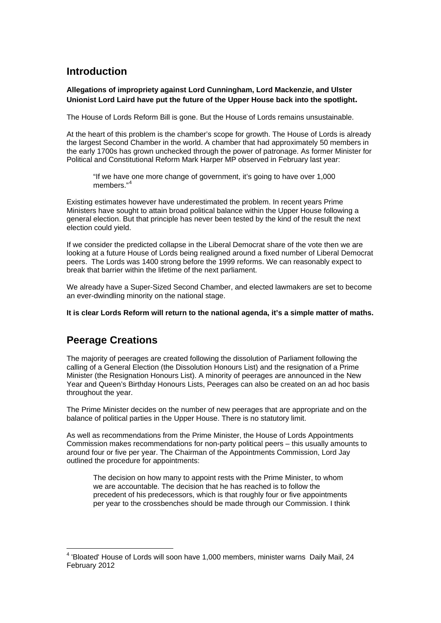## **Introduction**

#### **Allegations of impropriety against Lord Cunningham, Lord Mackenzie, and Ulster Unionist Lord Laird have put the future of the Upper House back into the spotlight.**

The House of Lords Reform Bill is gone. But the House of Lords remains unsustainable.

At the heart of this problem is the chamber's scope for growth. The House of Lords is already the largest Second Chamber in the world. A chamber that had approximately 50 members in the early 1700s has grown unchecked through the power of patronage. As former Minister for Political and Constitutional Reform Mark Harper MP observed in February last year:

"If we have one more change of government, it's going to have over 1,000 members."<sup>[4](#page-1-0)</sup>

Existing estimates however have underestimated the problem. In recent years Prime Ministers have sought to attain broad political balance within the Upper House following a general election. But that principle has never been tested by the kind of the result the next election could yield.

If we consider the predicted collapse in the Liberal Democrat share of the vote then we are looking at a future House of Lords being realigned around a fixed number of Liberal Democrat peers. The Lords was 1400 strong before the 1999 reforms. We can reasonably expect to break that barrier within the lifetime of the next parliament.

We already have a Super-Sized Second Chamber, and elected lawmakers are set to become an ever-dwindling minority on the national stage.

**It is clear Lords Reform will return to the national agenda, it's a simple matter of maths.** 

## **Peerage Creations**

The majority of peerages are created following the dissolution of Parliament following the calling of a General Election (the Dissolution Honours List) and the resignation of a Prime Minister (the Resignation Honours List). A minority of peerages are announced in the New Year and Queen's Birthday Honours Lists, Peerages can also be created on an ad hoc basis throughout the year.

The Prime Minister decides on the number of new peerages that are appropriate and on the balance of political parties in the Upper House. There is no statutory limit.

As well as recommendations from the Prime Minister, the House of Lords Appointments Commission makes recommendations for non-party political peers – this usually amounts to around four or five per year. The Chairman of the Appointments Commission, Lord Jay outlined the procedure for appointments:

The decision on how many to appoint rests with the Prime Minister, to whom we are accountable. The decision that he has reached is to follow the precedent of his predecessors, which is that roughly four or five appointments per year to the crossbenches should be made through our Commission. I think

<span id="page-1-0"></span><sup>&</sup>lt;u>.</u> <sup>4</sup> 'Bloated' House of Lords will soon have 1,000 members, minister warns Daily Mail, 24 February 2012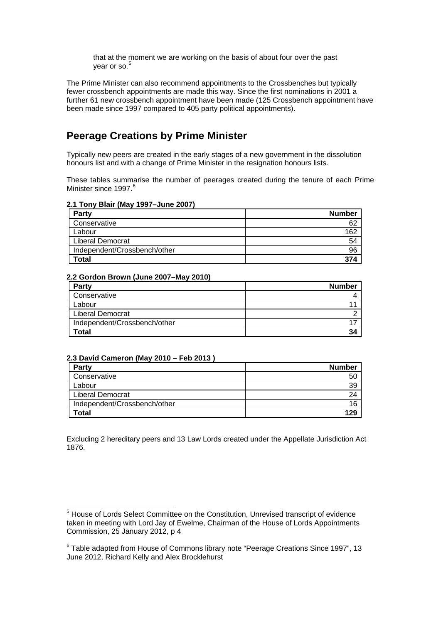that at the moment we are working on the basis of about four over the past year or so.<sup>[5](#page-2-0)</sup>

The Prime Minister can also recommend appointments to the Crossbenches but typically fewer crossbench appointments are made this way. Since the first nominations in 2001 a further 61 new crossbench appointment have been made (125 Crossbench appointment have been made since 1997 compared to 405 party political appointments).

## **Peerage Creations by Prime Minister**

Typically new peers are created in the early stages of a new government in the dissolution honours list and with a change of Prime Minister in the resignation honours lists.

These tables summarise the number of peerages created during the tenure of each Prime Minister since 1997.<sup>[6](#page-2-1)</sup>

#### **2.1 Tony Blair (May 1997–June 2007)**

| Party                        | <b>Number</b> |
|------------------------------|---------------|
| Conservative                 | 62            |
| Labour                       | 162           |
| <b>Liberal Democrat</b>      | 54            |
| Independent/Crossbench/other | 96            |
| <b>Total</b>                 | 374           |

#### **2.2 Gordon Brown (June 2007–May 2010)**

| <b>Party</b>                 | <b>Number</b> |
|------------------------------|---------------|
| Conservative                 |               |
| Labour                       |               |
| <b>Liberal Democrat</b>      |               |
| Independent/Crossbench/other |               |
| Total                        | 34            |

#### **2.3 David Cameron (May 2010 – Feb 2013 )**

| <b>Party</b>                 | <b>Number</b> |
|------------------------------|---------------|
| Conservative                 | 50            |
| Labour                       | 39            |
| <b>Liberal Democrat</b>      | 24            |
| Independent/Crossbench/other | 16            |
| Total                        | 129           |

Excluding 2 hereditary peers and 13 Law Lords created under the Appellate Jurisdiction Act 1876.

<span id="page-2-0"></span> 5 House of Lords Select Committee on the Constitution, Unrevised transcript of evidence taken in meeting with Lord Jay of Ewelme, Chairman of the House of Lords Appointments Commission, 25 January 2012, p 4

<span id="page-2-1"></span><sup>&</sup>lt;sup>6</sup> Table adapted from House of Commons library note "Peerage Creations Since 1997", 13 June 2012, Richard Kelly and Alex Brocklehurst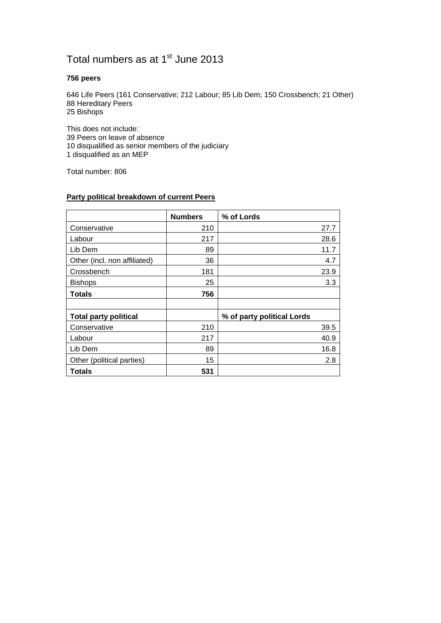## Total numbers as at 1<sup>st</sup> June 2013

#### **756 peers**

646 Life Peers (161 Conservative; 212 Labour; 85 Lib Dem; 150 Crossbench; 21 Other) 88 Hereditary Peers 25 Bishops

This does not include: 39 Peers on leave of absence 10 disqualified as senior members of the judiciary 1 disqualified as an MEP

Total number: 806

| Party political breakdown of current Peers |
|--------------------------------------------|
|--------------------------------------------|

|                              | <b>Numbers</b> | % of Lords                 |
|------------------------------|----------------|----------------------------|
| Conservative                 | 210            | 27.7                       |
| Labour                       | 217            | 28.6                       |
| Lib Dem                      | 89             | 11.7                       |
| Other (incl. non affiliated) | 36             | 4.7                        |
| Crossbench                   | 181            | 23.9                       |
| <b>Bishops</b>               | 25             | 3.3                        |
| <b>Totals</b>                | 756            |                            |
|                              |                |                            |
| <b>Total party political</b> |                | % of party political Lords |
| Conservative                 | 210            | 39.5                       |
| Labour                       | 217            | 40.9                       |
| Lib Dem                      | 89             | 16.8                       |
| Other (political parties)    | 15             | 2.8                        |
| <b>Totals</b>                | 531            |                            |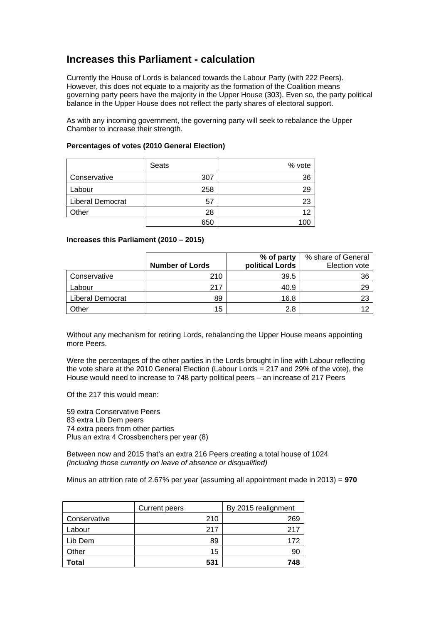## **Increases this Parliament - calculation**

Currently the House of Lords is balanced towards the Labour Party (with 222 Peers). However, this does not equate to a majority as the formation of the Coalition means governing party peers have the majority in the Upper House (303). Even so, the party political balance in the Upper House does not reflect the party shares of electoral support.

As with any incoming government, the governing party will seek to rebalance the Upper Chamber to increase their strength.

|                         | Seats | % vote |
|-------------------------|-------|--------|
| Conservative            | 307   | 36     |
| Labour                  | 258   | 29     |
| <b>Liberal Democrat</b> | 57    | 23     |
| Other                   | 28    | 12     |
|                         | 650   |        |

#### **Percentages of votes (2010 General Election)**

#### **Increases this Parliament (2010 – 2015)**

|                  |                        | % of party      | % share of General |
|------------------|------------------------|-----------------|--------------------|
|                  | <b>Number of Lords</b> | political Lords | Election vote      |
| Conservative     | 210                    | 39.5            | 36                 |
| Labour           | 217                    | 40.9            | 29                 |
| Liberal Democrat | 89                     | 16.8            | 23                 |
| Other            | 15                     | 2.8             | 12                 |

Without any mechanism for retiring Lords, rebalancing the Upper House means appointing more Peers.

Were the percentages of the other parties in the Lords brought in line with Labour reflecting the vote share at the 2010 General Election (Labour Lords = 217 and 29% of the vote), the House would need to increase to 748 party political peers – an increase of 217 Peers

Of the 217 this would mean:

59 extra Conservative Peers 83 extra Lib Dem peers 74 extra peers from other parties Plus an extra 4 Crossbenchers per year (8)

Between now and 2015 that's an extra 216 Peers creating a total house of 1024 *(including those currently on leave of absence or disqualified)* 

Minus an attrition rate of 2.67% per year (assuming all appointment made in 2013) = **970** 

|              | <b>Current peers</b> | By 2015 realignment |  |
|--------------|----------------------|---------------------|--|
| Conservative | 210                  | 269                 |  |
| Labour       | 217                  | 217                 |  |
| Lib Dem      | 89                   | 172                 |  |
| Other        | 15                   | 90                  |  |
| Гоtal        | 531                  | 748                 |  |